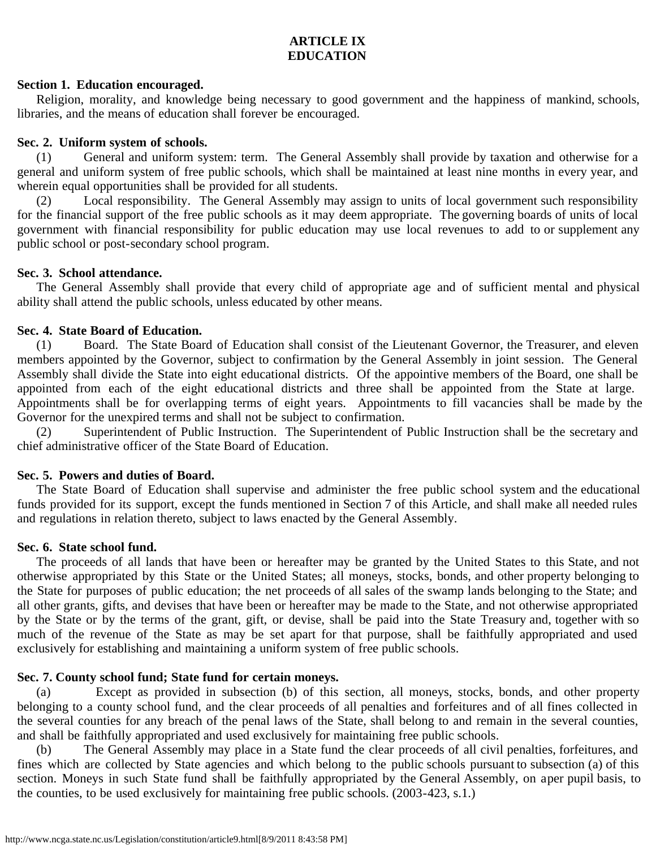# **ARTICLE IX EDUCATION**

#### **Section 1. Education encouraged.**

Religion, morality, and knowledge being necessary to good government and the happiness of mankind, schools, libraries, and the means of education shall forever be encouraged.

#### **Sec. 2. Uniform system of schools.**

(1) General and uniform system: term. The General Assembly shall provide by taxation and otherwise for a general and uniform system of free public schools, which shall be maintained at least nine months in every year, and wherein equal opportunities shall be provided for all students.

(2) Local responsibility. The General Assembly may assign to units of local government such responsibility for the financial support of the free public schools as it may deem appropriate. The governing boards of units of local government with financial responsibility for public education may use local revenues to add to or supplement any public school or post-secondary school program.

#### **Sec. 3. School attendance.**

The General Assembly shall provide that every child of appropriate age and of sufficient mental and physical ability shall attend the public schools, unless educated by other means.

## **Sec. 4. State Board of Education.**

(1) Board. The State Board of Education shall consist of the Lieutenant Governor, the Treasurer, and eleven members appointed by the Governor, subject to confirmation by the General Assembly in joint session. The General Assembly shall divide the State into eight educational districts. Of the appointive members of the Board, one shall be appointed from each of the eight educational districts and three shall be appointed from the State at large. Appointments shall be for overlapping terms of eight years. Appointments to fill vacancies shall be made by the Governor for the unexpired terms and shall not be subject to confirmation.

(2) Superintendent of Public Instruction. The Superintendent of Public Instruction shall be the secretary and chief administrative officer of the State Board of Education.

## **Sec. 5. Powers and duties of Board.**

The State Board of Education shall supervise and administer the free public school system and the educational funds provided for its support, except the funds mentioned in Section 7 of this Article, and shall make all needed rules and regulations in relation thereto, subject to laws enacted by the General Assembly.

## **Sec. 6. State school fund.**

The proceeds of all lands that have been or hereafter may be granted by the United States to this State, and not otherwise appropriated by this State or the United States; all moneys, stocks, bonds, and other property belonging to the State for purposes of public education; the net proceeds of all sales of the swamp lands belonging to the State; and all other grants, gifts, and devises that have been or hereafter may be made to the State, and not otherwise appropriated by the State or by the terms of the grant, gift, or devise, shall be paid into the State Treasury and, together with so much of the revenue of the State as may be set apart for that purpose, shall be faithfully appropriated and used exclusively for establishing and maintaining a uniform system of free public schools.

## **Sec. 7. County school fund; State fund for certain moneys.**

Except as provided in subsection (b) of this section, all moneys, stocks, bonds, and other property belonging to a county school fund, and the clear proceeds of all penalties and forfeitures and of all fines collected in the several counties for any breach of the penal laws of the State, shall belong to and remain in the several counties, and shall be faithfully appropriated and used exclusively for maintaining free public schools.

(b) The General Assembly may place in a State fund the clear proceeds of all civil penalties, forfeitures, and fines which are collected by State agencies and which belong to the public schools pursuant to subsection (a) of this section. Moneys in such State fund shall be faithfully appropriated by the General Assembly, on aper pupil basis, to the counties, to be used exclusively for maintaining free public schools. (2003-423, s.1.)